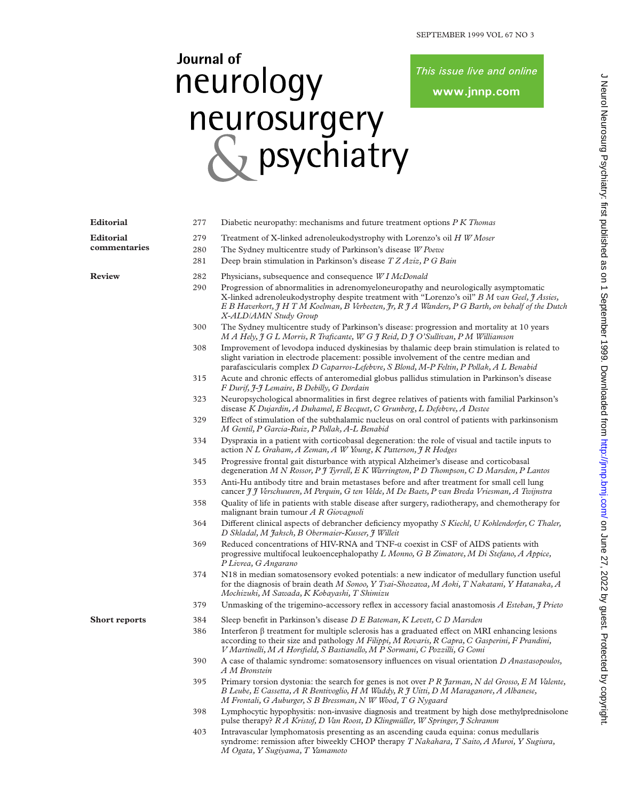## Journal of neurology neurosurgery<br>& psychiatry

This issue live and online

www.jnnp.com

| <b>Editorial</b>     | 277 | Diabetic neuropathy: mechanisms and future treatment options P K Thomas                                                                                                                                                                                                                                             |  |  |
|----------------------|-----|---------------------------------------------------------------------------------------------------------------------------------------------------------------------------------------------------------------------------------------------------------------------------------------------------------------------|--|--|
| <b>Editorial</b>     | 279 | Treatment of X-linked adrenoleukodystrophy with Lorenzo's oil H W Moser                                                                                                                                                                                                                                             |  |  |
| commentaries         | 280 | The Sydney multicentre study of Parkinson's disease W Poewe                                                                                                                                                                                                                                                         |  |  |
|                      | 281 | Deep brain stimulation in Parkinson's disease T Z Aziz, P G Bain                                                                                                                                                                                                                                                    |  |  |
| <b>Review</b>        | 282 | Physicians, subsequence and consequence W I McDonald                                                                                                                                                                                                                                                                |  |  |
|                      | 290 | Progression of abnormalities in adrenomyeloneuropathy and neurologically asymptomatic<br>X-linked adrenoleukodystrophy despite treatment with "Lorenzo's oil" B M van Geel, I Assies,<br>E B Haverkort, J H T M Koelman, B Verbeeten, Jr, R J A Wanders, P G Barth, on behalf of the Dutch<br>X-ALD/AMN Study Group |  |  |
|                      | 300 | The Sydney multicentre study of Parkinson's disease: progression and mortality at 10 years<br>M A Hely, J G L Morris, R Traficante, W G J Reid, D J O'Sullivan, P M Williamson                                                                                                                                      |  |  |
|                      | 308 | Improvement of levodopa induced dyskinesias by thalamic deep brain stimulation is related to<br>slight variation in electrode placement: possible involvement of the centre median and<br>parafascicularis complex D Caparros-Lefebvre, S Blond, M-P Feltin, P Pollak, A L Benabid                                  |  |  |
|                      | 315 | Acute and chronic effects of anteromedial globus pallidus stimulation in Parkinson's disease<br>F Durif, J-J Lemaire, B Debilly, G Dordain                                                                                                                                                                          |  |  |
|                      | 323 | Neuropsychological abnormalities in first degree relatives of patients with familial Parkinson's<br>disease K Dujardin, A Duhamel, E Becquet, C Grunberg, L Defebvre, A Destee                                                                                                                                      |  |  |
|                      | 329 | Effect of stimulation of the subthalamic nucleus on oral control of patients with parkinsonism<br>M Gentil, P Garcia-Ruiz, P Pollak, A-L Benabid                                                                                                                                                                    |  |  |
|                      | 334 | Dyspraxia in a patient with corticobasal degeneration: the role of visual and tactile inputs to<br>action N L Graham, A Zeman, A W Young, K Patterson, J R Hodges                                                                                                                                                   |  |  |
|                      | 345 | Progressive frontal gait disturbance with atypical Alzheimer's disease and corticobasal<br>degeneration M N Rossor, P J Tyrrell, E K Warrington, P D Thompson, C D Marsden, P Lantos                                                                                                                                |  |  |
|                      | 353 | Anti-Hu antibody titre and brain metastases before and after treatment for small cell lung<br>cancer J J Verschuuren, M Perquin, G ten Velde, M De Baets, P van Breda Vriesman, A Twijnstra                                                                                                                         |  |  |
|                      | 358 | Quality of life in patients with stable disease after surgery, radiotherapy, and chemotherapy for<br>malignant brain tumour A R Giovagnoli                                                                                                                                                                          |  |  |
|                      | 364 | Different clinical aspects of debrancher deficiency myopathy S Kiechl, U Kohlendorfer, C Thaler,<br>D Skladal, M Jaksch, B Obermaier-Kusser, J Willeit                                                                                                                                                              |  |  |
|                      | 369 | Reduced concentrations of HIV-RNA and TNF-a coexist in CSF of AIDS patients with<br>progressive multifocal leukoencephalopathy L Monno, G B Zimatore, M Di Stefano, A Appice,<br>P Livrea, G Angarano                                                                                                               |  |  |
|                      | 374 | N18 in median somatosensory evoked potentials: a new indicator of medullary function useful<br>for the diagnosis of brain death M Sonoo, Y Tsai-Shozawa, M Aoki, T Nakatani, Y Hatanaka, A<br>Mochizuki, M Sawada, K Kobayashi, T Shimizu                                                                           |  |  |
|                      | 379 | Unmasking of the trigemino-accessory reflex in accessory facial anastomosis A Esteban, I Prieto                                                                                                                                                                                                                     |  |  |
| <b>Short reports</b> | 384 | Sleep benefit in Parkinson's disease D E Bateman, K Levett, C D Marsden                                                                                                                                                                                                                                             |  |  |
|                      | 386 | Interferon $\beta$ treatment for multiple sclerosis has a graduated effect on MRI enhancing lesions<br>according to their size and pathology M Filippi, M Rovaris, R Capra, C Gasperini, F Prandini,<br>V Martinelli, M A Horsfield, S Bastianello, M P Sormani, C Pozzilli, G Comi                                 |  |  |
|                      | 390 | A case of thalamic syndrome: somatosensory influences on visual orientation D Anastasopoulos,<br>A M Bronstein                                                                                                                                                                                                      |  |  |
|                      | 395 | Primary torsion dystonia: the search for genes is not over P R Jarman, N del Grosso, E M Valente,<br>B Leube, E Cassetta, A R Bentivoglio, H M Waddy, R J Uitti, D M Maraganore, A Albanese,<br>M Frontali, G Auburger, S B Bressman, N W Wood, T G Nygaard                                                         |  |  |
|                      | 398 | Lymphocytic hypophysitis: non-invasive diagnosis and treatment by high dose methylprednisolone<br>pulse therapy? R A Kristof, D Van Roost, D Klingmüller, W Springer, J Schramm                                                                                                                                     |  |  |
|                      | 403 | Intravascular lymphomatosis presenting as an ascending cauda equina: conus medullaris<br>syndrome: remission after biweekly CHOP therapy T Nakahara, T Saito, A Muroi, Y Sugiura,<br>M Ogata, Y Sugiyama, T Yamamoto                                                                                                |  |  |